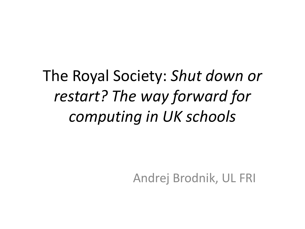The Royal Society: *Shut down or restart? The way forward for computing in UK schools*

Andrej Brodnik, UL FRI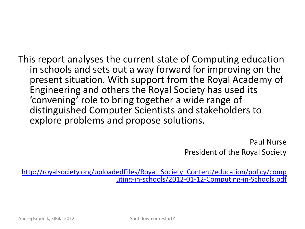This report analyses the current state of Computing education in schools and sets out a way forward for improving on the present situation. With support from the Royal Academy of Engineering and others the Royal Society has used its 'convening' role to bring together a wide range of distinguished Computer Scientists and stakeholders to explore problems and propose solutions.

> Paul Nurse President of the Royal Society

[http://royalsociety.org/uploadedFiles/Royal\\_Society\\_Content/education/policy/comp](http://royalsociety.org/uploadedFiles/Royal_Society_Content/education/policy/computing-in-schools/2012-01-12-Computing-in-Schools.pdf) [uting-in-schools/2012-01-12-Computing-in-Schools.pdf](http://royalsociety.org/uploadedFiles/Royal_Society_Content/education/policy/computing-in-schools/2012-01-12-Computing-in-Schools.pdf)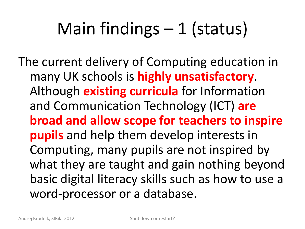## Main findings – 1 (status)

The current delivery of Computing education in many UK schools is **highly unsatisfactory**. Although **existing curricula** for Information and Communication Technology (ICT) **are broad and allow scope for teachers to inspire pupils** and help them develop interests in Computing, many pupils are not inspired by what they are taught and gain nothing beyond basic digital literacy skills such as how to use a word-processor or a database.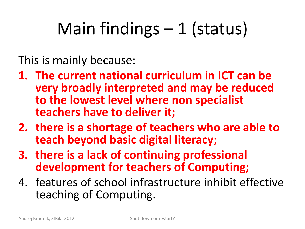# Main findings  $-1$  (status)

This is mainly because:

- **1. The current national curriculum in ICT can be very broadly interpreted and may be reduced to the lowest level where non specialist teachers have to deliver it;**
- **2. there is a shortage of teachers who are able to teach beyond basic digital literacy;**
- **3. there is a lack of continuing professional development for teachers of Computing;**
- 4. features of school infrastructure inhibit effective teaching of Computing.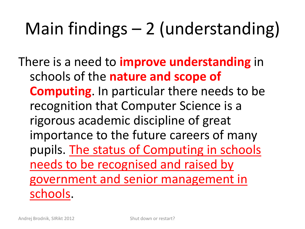# Main findings – 2 (understanding)

There is a need to **improve understanding** in schools of the **nature and scope of Computing**. In particular there needs to be recognition that Computer Science is a rigorous academic discipline of great importance to the future careers of many pupils. The status of Computing in schools needs to be recognised and raised by government and senior management in schools.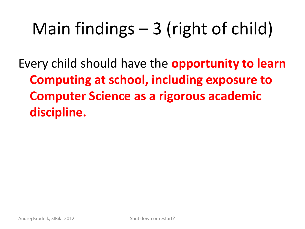# Main findings – 3 (right of child)

Every child should have the **opportunity to learn Computing at school, including exposure to Computer Science as a rigorous academic discipline.**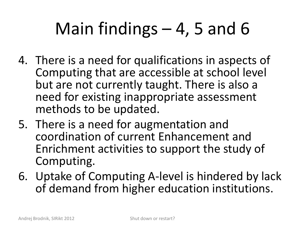## Main findings  $-4$ , 5 and 6

- 4. There is a need for qualifications in aspects of Computing that are accessible at school level but are not currently taught. There is also a need for existing inappropriate assessment methods to be updated.
- 5. There is a need for augmentation and coordination of current Enhancement and Enrichment activities to support the study of Computing.
- 6. Uptake of Computing A-level is hindered by lack of demand from higher education institutions.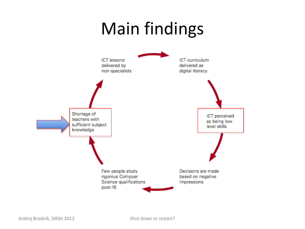#### Main findings

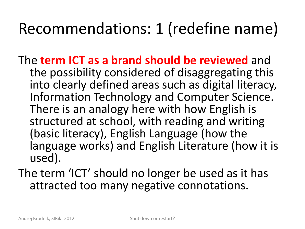#### Recommendations: 1 (redefine name)

- The **term ICT as a brand should be reviewed** and the possibility considered of disaggregating this into clearly defined areas such as digital literacy, Information Technology and Computer Science. There is an analogy here with how English is structured at school, with reading and writing (basic literacy), English Language (how the language works) and English Literature (how it is used).
- The term 'ICT' should no longer be used as it has attracted too many negative connotations.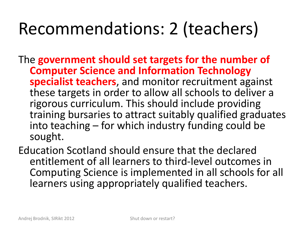#### Recommendations: 2 (teachers)

The **government should set targets for the number of Computer Science and Information Technology specialist teachers**, and monitor recruitment against these targets in order to allow all schools to deliver a rigorous curriculum. This should include providing training bursaries to attract suitably qualified graduates into teaching – for which industry funding could be sought.

Education Scotland should ensure that the declared entitlement of all learners to third-level outcomes in Computing Science is implemented in all schools for all learners using appropriately qualified teachers.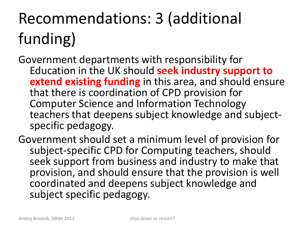#### Recommendations: 3 (additional funding)

Government departments with responsibility for Education in the UK should **seek industry support to extend existing funding** in this area, and should ensure that there is coordination of CPD provision for Computer Science and Information Technology teachers that deepens subject knowledge and subjectspecific pedagogy.

Government should set a minimum level of provision for subject-specific CPD for Computing teachers, should seek support from business and industry to make that provision, and should ensure that the provision is well coordinated and deepens subject knowledge and subject specific pedagogy.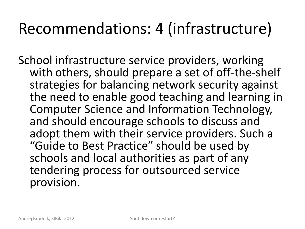#### Recommendations: 4 (infrastructure)

School infrastructure service providers, working with others, should prepare a set of off-the-shelf strategies for balancing network security against the need to enable good teaching and learning in Computer Science and Information Technology, and should encourage schools to discuss and adopt them with their service providers. Such a "Guide to Best Practice" should be used by schools and local authorities as part of any tendering process for outsourced service provision.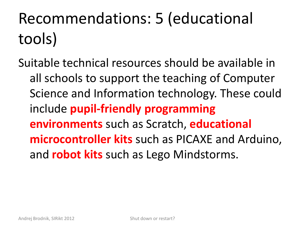## Recommendations: 5 (educational tools)

Suitable technical resources should be available in all schools to support the teaching of Computer Science and Information technology. These could include **pupil-friendly programming environments** such as Scratch, **educational microcontroller kits** such as PICAXE and Arduino, and **robot kits** such as Lego Mindstorms.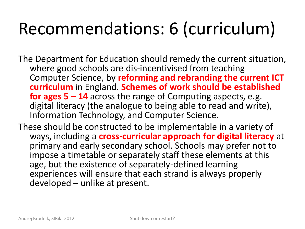#### Recommendations: 6 (curriculum)

The Department for Education should remedy the current situation, where good schools are dis-incentivised from teaching Computer Science, by **reforming and rebranding the current ICT curriculum** in England. **Schemes of work should be established for ages 5 – 14** across the range of Computing aspects, e.g. digital literacy (the analogue to being able to read and write), Information Technology, and Computer Science.

These should be constructed to be implementable in a variety of ways, including a **cross-curricular approach for digital literacy** at primary and early secondary school. Schools may prefer not to impose a timetable or separately staff these elements at this age, but the existence of separately-defined learning experiences will ensure that each strand is always properly developed – unlike at present.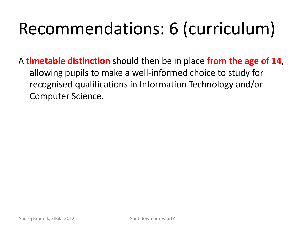## Recommendations: 6 (curriculum)

A **timetable distinction** should then be in place **from the age of 14**, allowing pupils to make a well-informed choice to study for recognised qualifications in Information Technology and/or Computer Science.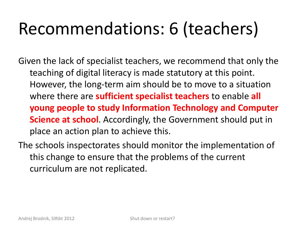## Recommendations: 6 (teachers)

Given the lack of specialist teachers, we recommend that only the teaching of digital literacy is made statutory at this point. However, the long-term aim should be to move to a situation where there are **sufficient specialist teachers** to enable **all young people to study Information Technology and Computer Science at school**. Accordingly, the Government should put in place an action plan to achieve this.

The schools inspectorates should monitor the implementation of this change to ensure that the problems of the current curriculum are not replicated.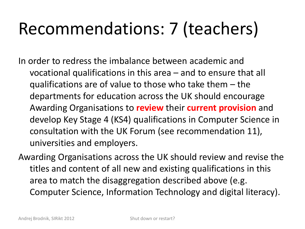## Recommendations: 7 (teachers)

In order to redress the imbalance between academic and vocational qualifications in this area – and to ensure that all qualifications are of value to those who take them – the departments for education across the UK should encourage Awarding Organisations to **review** their **current provision** and develop Key Stage 4 (KS4) qualifications in Computer Science in consultation with the UK Forum (see recommendation 11), universities and employers.

Awarding Organisations across the UK should review and revise the titles and content of all new and existing qualifications in this area to match the disaggregation described above (e.g. Computer Science, Information Technology and digital literacy).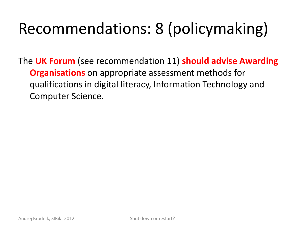#### Recommendations: 8 (policymaking)

The **UK Forum** (see recommendation 11) **should advise Awarding Organisations** on appropriate assessment methods for qualifications in digital literacy, Information Technology and Computer Science.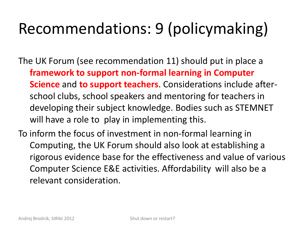#### Recommendations: 9 (policymaking)

The UK Forum (see recommendation 11) should put in place a **framework to support non-formal learning in Computer Science** and **to support teachers**. Considerations include afterschool clubs, school speakers and mentoring for teachers in developing their subject knowledge. Bodies such as STEMNET will have a role to play in implementing this.

To inform the focus of investment in non-formal learning in Computing, the UK Forum should also look at establishing a rigorous evidence base for the effectiveness and value of various Computer Science E&E activities. Affordability will also be a relevant consideration.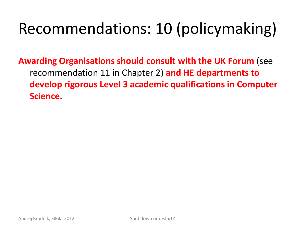#### Recommendations: 10 (policymaking)

**Awarding Organisations should consult with the UK Forum** (see recommendation 11 in Chapter 2) **and HE departments to develop rigorous Level 3 academic qualifications in Computer Science.**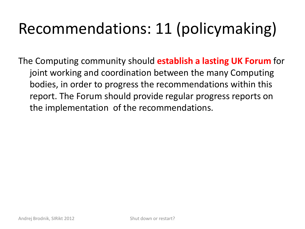#### Recommendations: 11 (policymaking)

The Computing community should **establish a lasting UK Forum** for joint working and coordination between the many Computing bodies, in order to progress the recommendations within this report. The Forum should provide regular progress reports on the implementation of the recommendations.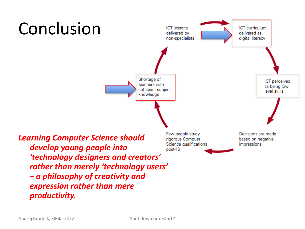